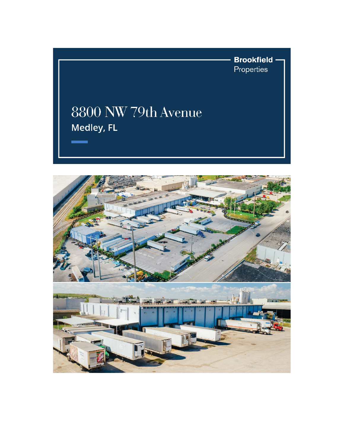**Brookfield** -Properties

## 8800 NW 79th Avenue Medley, FL

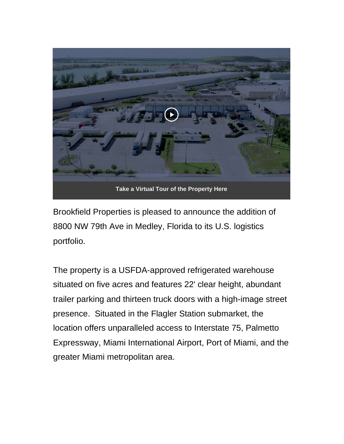

Brookfield Properties is pleased to announce the addition of 8800 NW 79th Ave in Medley, Florida to its U.S. logistics portfolio.

The property is a USFDA-approved refrigerated warehouse situated on five acres and features 22' clear height, abundant trailer parking and thirteen truck doors with a high-image street presence. Situated in the Flagler Station submarket, the location offers unparalleled access to Interstate 75, Palmetto Expressway, Miami International Airport, Port of Miami, and the greater Miami metropolitan area.